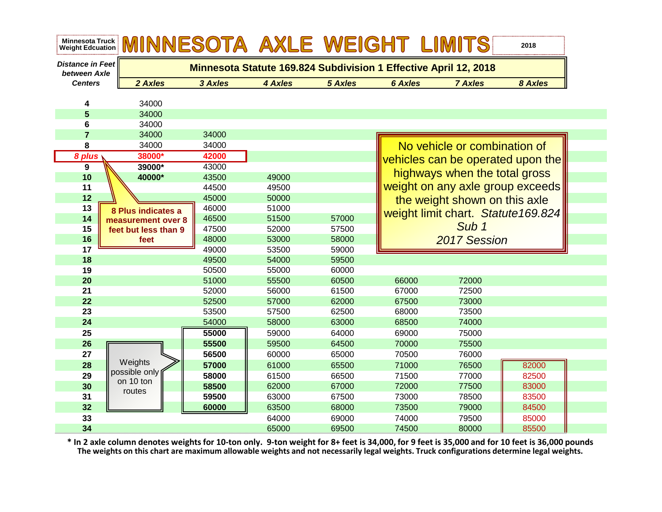|                                  | Minnesota Truck MINNESOTA AXLE WEIGHT LIMITS |                                                                  |                |                |                |                                     | 2018    |  |  |  |  |  |
|----------------------------------|----------------------------------------------|------------------------------------------------------------------|----------------|----------------|----------------|-------------------------------------|---------|--|--|--|--|--|
| Distance in Feet<br>between Axle |                                              | Minnesota Statute 169.824 Subdivision 1 Effective April 12, 2018 |                |                |                |                                     |         |  |  |  |  |  |
| <b>Centers</b>                   | 2 Axles                                      | 3 Axles                                                          | 4 Axles        | <b>5 Axles</b> | <b>6 Axles</b> | <b>7 Axles</b>                      | 8 Axles |  |  |  |  |  |
|                                  |                                              |                                                                  |                |                |                |                                     |         |  |  |  |  |  |
| 4                                | 34000                                        |                                                                  |                |                |                |                                     |         |  |  |  |  |  |
| 5                                | 34000                                        |                                                                  |                |                |                |                                     |         |  |  |  |  |  |
| 6                                | 34000                                        |                                                                  |                |                |                |                                     |         |  |  |  |  |  |
| $\overline{7}$                   | 34000                                        | 34000                                                            |                |                |                |                                     |         |  |  |  |  |  |
| 8                                | 34000                                        | 34000                                                            |                |                |                | No vehicle or combination of        |         |  |  |  |  |  |
| 8 plus                           | 38000*                                       | 42000                                                            |                |                |                | vehicles can be operated upon the   |         |  |  |  |  |  |
| 9                                | 39000*                                       | 43000                                                            |                |                |                | highways when the total gross       |         |  |  |  |  |  |
| 10<br>11                         | 40000*                                       | 43500<br>44500                                                   | 49000<br>49500 |                |                | weight on any axle group exceeds    |         |  |  |  |  |  |
| 12                               |                                              | 45000                                                            | 50000          |                |                |                                     |         |  |  |  |  |  |
| 13                               |                                              | 46000                                                            | 51000          |                |                | the weight shown on this axle       |         |  |  |  |  |  |
| 14                               | 8 Plus indicates a                           | 46500                                                            | 51500          | 57000          |                | weight limit chart. Statute 169.824 |         |  |  |  |  |  |
| 15                               | measurement over 8<br>feet but less than 9   | 47500                                                            | 52000          | 57500          |                | Sub <sub>1</sub>                    |         |  |  |  |  |  |
| 16                               | feet                                         | 48000                                                            | 53000          | 58000          |                | 2017 Session                        |         |  |  |  |  |  |
| 17                               |                                              | 49000                                                            | 53500          | 59000          |                |                                     |         |  |  |  |  |  |
| 18                               |                                              | 49500                                                            | 54000          | 59500          |                |                                     |         |  |  |  |  |  |
| 19                               |                                              | 50500                                                            | 55000          | 60000          |                |                                     |         |  |  |  |  |  |
| 20                               |                                              | 51000                                                            | 55500          | 60500          | 66000          | 72000                               |         |  |  |  |  |  |
| 21                               |                                              | 52000                                                            | 56000          | 61500          | 67000          | 72500                               |         |  |  |  |  |  |
| 22                               |                                              | 52500                                                            | 57000          | 62000          | 67500          | 73000                               |         |  |  |  |  |  |
| 23                               |                                              | 53500                                                            | 57500          | 62500          | 68000          | 73500                               |         |  |  |  |  |  |
| 24                               |                                              | 54000                                                            | 58000          | 63000          | 68500          | 74000                               |         |  |  |  |  |  |
| 25                               |                                              | 55000                                                            | 59000          | 64000          | 69000          | 75000                               |         |  |  |  |  |  |
| 26                               |                                              | 55500                                                            | 59500          | 64500          | 70000          | 75500                               |         |  |  |  |  |  |
| 27                               |                                              | 56500                                                            | 60000          | 65000          | 70500          | 76000                               |         |  |  |  |  |  |
| 28                               | Weights                                      | 57000                                                            | 61000          | 65500          | 71000          | 76500                               | 82000   |  |  |  |  |  |
| 29                               | possible only                                | 58000                                                            | 61500          | 66500          | 71500          | 77000                               | 82500   |  |  |  |  |  |
| 30                               | on 10 ton<br>routes                          | 58500                                                            | 62000          | 67000          | 72000          | 77500                               | 83000   |  |  |  |  |  |
| 31                               |                                              | 59500                                                            | 63000          | 67500          | 73000          | 78500                               | 83500   |  |  |  |  |  |
| 32                               |                                              | 60000                                                            | 63500          | 68000          | 73500          | 79000                               | 84500   |  |  |  |  |  |
| 33                               |                                              |                                                                  | 64000          | 69000          | 74000          | 79500                               | 85000   |  |  |  |  |  |
| 34                               |                                              |                                                                  | 65000          | 69500          | 74500          | 80000                               | 85500   |  |  |  |  |  |

\* In 2 axle column denotes weights for 10-ton only. 9-ton weight for 8+ feet is 34,000, for 9 feet is 35,000 and for 10 feet is 36,000 pounds The weights on this chart are maximum allowable weights and not necessarily legal weights. Truck configurations determine legal weights.